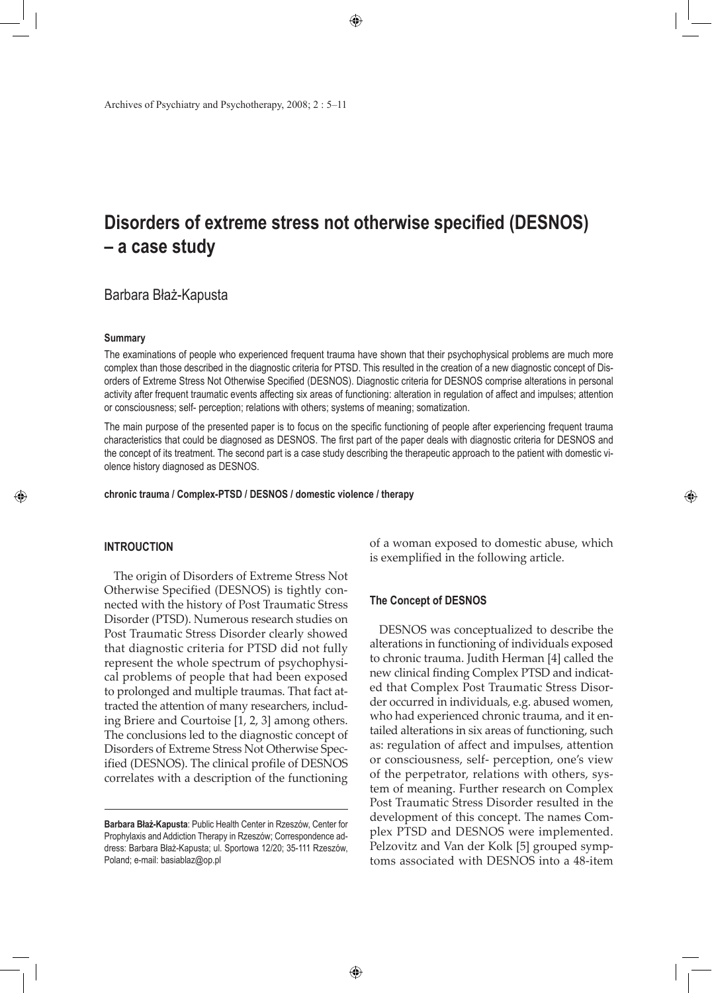Archives of Psychiatry and Psychotherapy, 2008; 2 : 5–11

# **Disorders of extreme stress not otherwise specified (DESNOS) – a case study**

## Barbara Błaż-Kapusta

#### **Summary**

The examinations of people who experienced frequent trauma have shown that their psychophysical problems are much more complex than those described in the diagnostic criteria for PTSD. This resulted in the creation of a new diagnostic concept of Disorders of Extreme Stress Not Otherwise Specified (DESNOS). Diagnostic criteria for DESNOS comprise alterations in personal activity after frequent traumatic events affecting six areas of functioning: alteration in regulation of affect and impulses; attention or consciousness; self- perception; relations with others; systems of meaning; somatization.

The main purpose of the presented paper is to focus on the specific functioning of people after experiencing frequent trauma characteristics that could be diagnosed as DESNOS. The first part of the paper deals with diagnostic criteria for DESNOS and the concept of its treatment. The second part is a case study describing the therapeutic approach to the patient with domestic violence history diagnosed as DESNOS.

**chronic trauma / Complex-PTSD / DESNOS / domestic violence / therapy**

#### **INTROUCTION**

◈

The origin of Disorders of Extreme Stress Not Otherwise Specified (DESNOS) is tightly connected with the history of Post Traumatic Stress Disorder (PTSD). Numerous research studies on Post Traumatic Stress Disorder clearly showed that diagnostic criteria for PTSD did not fully represent the whole spectrum of psychophysical problems of people that had been exposed to prolonged and multiple traumas. That fact attracted the attention of many researchers, including Briere and Courtoise [1, 2, 3] among others. The conclusions led to the diagnostic concept of Disorders of Extreme Stress Not Otherwise Specified (DESNOS). The clinical profile of DESNOS correlates with a description of the functioning of a woman exposed to domestic abuse, which is exemplified in the following article.

◈

#### **The Concept of DESNOS**

DESNOS was conceptualized to describe the alterations in functioning of individuals exposed to chronic trauma. Judith Herman [4] called the new clinical finding Complex PTSD and indicated that Complex Post Traumatic Stress Disorder occurred in individuals, e.g. abused women, who had experienced chronic trauma, and it entailed alterations in six areas of functioning, such as: regulation of affect and impulses, attention or consciousness, self- perception, one's view of the perpetrator, relations with others, system of meaning. Further research on Complex Post Traumatic Stress Disorder resulted in the development of this concept. The names Complex PTSD and DESNOS were implemented. Pelzovitz and Van der Kolk [5] grouped symptoms associated with DESNOS into a 48-item

**Barbara Błaż-Kapusta**: Public Health Center in Rzeszów, Center for Prophylaxis and Addiction Therapy in Rzeszów; Correspondence address: Barbara Błaż-Kapusta; ul. Sportowa 12/20; 35-111 Rzeszów, Poland; e-mail: basiablaz@op.pl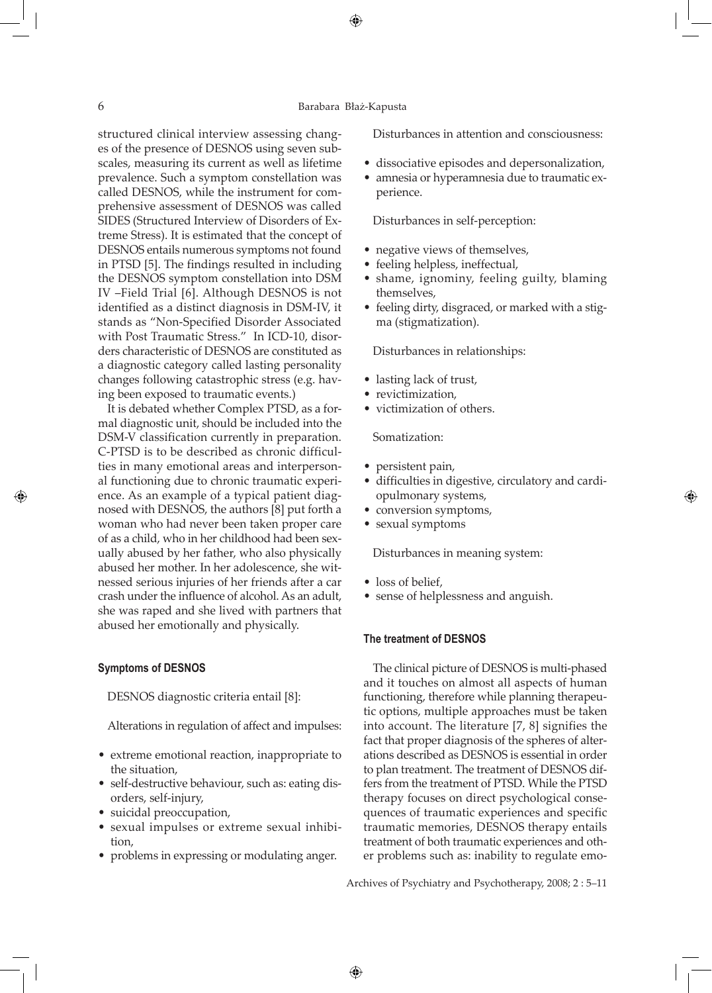## 6 Barabara Błaż-Kapusta

⊕

structured clinical interview assessing changes of the presence of DESNOS using seven subscales, measuring its current as well as lifetime prevalence. Such a symptom constellation was called DESNOS, while the instrument for comprehensive assessment of DESNOS was called SIDES (Structured Interview of Disorders of Extreme Stress). It is estimated that the concept of DESNOS entails numerous symptoms not found in PTSD [5]. The findings resulted in including the DESNOS symptom constellation into DSM IV –Field Trial [6]. Although DESNOS is not identified as a distinct diagnosis in DSM-IV, it stands as "Non-Specified Disorder Associated with Post Traumatic Stress." In ICD-10, disorders characteristic of DESNOS are constituted as a diagnostic category called lasting personality changes following catastrophic stress (e.g. having been exposed to traumatic events.)

It is debated whether Complex PTSD, as a formal diagnostic unit, should be included into the DSM-V classification currently in preparation. C-PTSD is to be described as chronic difficulties in many emotional areas and interpersonal functioning due to chronic traumatic experience. As an example of a typical patient diagnosed with DESNOS, the authors [8] put forth a woman who had never been taken proper care of as a child, who in her childhood had been sexually abused by her father, who also physically abused her mother. In her adolescence, she witnessed serious injuries of her friends after a car crash under the influence of alcohol. As an adult, she was raped and she lived with partners that abused her emotionally and physically.

#### **Symptoms of DESNOS**

DESNOS diagnostic criteria entail [8]:

Alterations in regulation of affect and impulses:

- • extreme emotional reaction, inappropriate to the situation,
- self-destructive behaviour, such as: eating disorders, self-injury,
- suicidal preoccupation,
- • sexual impulses or extreme sexual inhibition,
- problems in expressing or modulating anger.

Disturbances in attention and consciousness:

- • dissociative episodes and depersonalization,
- amnesia or hyperamnesia due to traumatic experience.

Disturbances in self-perception:

- negative views of themselves,
- feeling helpless, ineffectual,
- shame, ignominy, feeling guilty, blaming themselves,
- feeling dirty, disgraced, or marked with a stigma (stigmatization).

Disturbances in relationships:

- lasting lack of trust,
- revictimization.
- victimization of others.

#### Somatization:

- persistent pain,
- • difficulties in digestive, circulatory and cardiopulmonary systems,

◈

- conversion symptoms,
- sexual symptoms

Disturbances in meaning system:

- loss of belief,
- sense of helplessness and anguish.

#### **The treatment of DESNOS**

The clinical picture of DESNOS is multi-phased and it touches on almost all aspects of human functioning, therefore while planning therapeutic options, multiple approaches must be taken into account. The literature [7, 8] signifies the fact that proper diagnosis of the spheres of alterations described as DESNOS is essential in order to plan treatment. The treatment of DESNOS differs from the treatment of PTSD. While the PTSD therapy focuses on direct psychological consequences of traumatic experiences and specific traumatic memories, DESNOS therapy entails treatment of both traumatic experiences and other problems such as: inability to regulate emo-

Archives of Psychiatry and Psychotherapy, 2008; 2 : 5–11

◈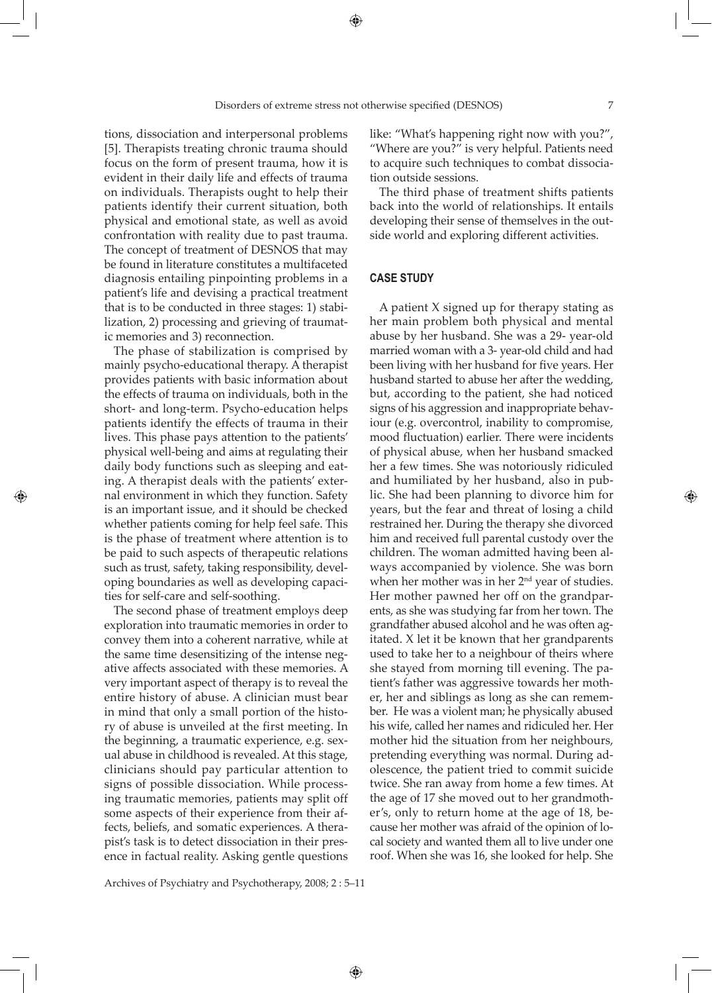◈

tions, dissociation and interpersonal problems [5]. Therapists treating chronic trauma should focus on the form of present trauma, how it is evident in their daily life and effects of trauma on individuals. Therapists ought to help their patients identify their current situation, both physical and emotional state, as well as avoid confrontation with reality due to past trauma. The concept of treatment of DESNOS that may be found in literature constitutes a multifaceted diagnosis entailing pinpointing problems in a patient's life and devising a practical treatment that is to be conducted in three stages: 1) stabilization, 2) processing and grieving of traumatic memories and 3) reconnection.

The phase of stabilization is comprised by mainly psycho-educational therapy. A therapist provides patients with basic information about the effects of trauma on individuals, both in the short- and long-term. Psycho-education helps patients identify the effects of trauma in their lives. This phase pays attention to the patients' physical well-being and aims at regulating their daily body functions such as sleeping and eating. A therapist deals with the patients' external environment in which they function. Safety is an important issue, and it should be checked whether patients coming for help feel safe. This is the phase of treatment where attention is to be paid to such aspects of therapeutic relations such as trust, safety, taking responsibility, developing boundaries as well as developing capacities for self-care and self-soothing.

◈

The second phase of treatment employs deep exploration into traumatic memories in order to convey them into a coherent narrative, while at the same time desensitizing of the intense negative affects associated with these memories. A very important aspect of therapy is to reveal the entire history of abuse. A clinician must bear in mind that only a small portion of the history of abuse is unveiled at the first meeting. In the beginning, a traumatic experience, e.g. sexual abuse in childhood is revealed. At this stage, clinicians should pay particular attention to signs of possible dissociation. While processing traumatic memories, patients may split off some aspects of their experience from their affects, beliefs, and somatic experiences. A therapist's task is to detect dissociation in their presence in factual reality. Asking gentle questions

Archives of Psychiatry and Psychotherapy, 2008; 2 : 5–11

like: "What's happening right now with you?", "Where are you?" is very helpful. Patients need to acquire such techniques to combat dissociation outside sessions.

The third phase of treatment shifts patients back into the world of relationships. It entails developing their sense of themselves in the outside world and exploring different activities.

## **CASE STUDY**

A patient X signed up for therapy stating as her main problem both physical and mental abuse by her husband. She was a 29- year-old married woman with a 3- year-old child and had been living with her husband for five years. Her husband started to abuse her after the wedding, but, according to the patient, she had noticed signs of his aggression and inappropriate behaviour (e.g. overcontrol, inability to compromise, mood fluctuation) earlier. There were incidents of physical abuse, when her husband smacked her a few times. She was notoriously ridiculed and humiliated by her husband, also in public. She had been planning to divorce him for years, but the fear and threat of losing a child restrained her. During the therapy she divorced him and received full parental custody over the children. The woman admitted having been always accompanied by violence. She was born when her mother was in her 2<sup>nd</sup> year of studies. Her mother pawned her off on the grandparents, as she was studying far from her town. The grandfather abused alcohol and he was often agitated. X let it be known that her grandparents used to take her to a neighbour of theirs where she stayed from morning till evening. The patient's father was aggressive towards her mother, her and siblings as long as she can remember. He was a violent man; he physically abused his wife, called her names and ridiculed her. Her mother hid the situation from her neighbours, pretending everything was normal. During adolescence, the patient tried to commit suicide twice. She ran away from home a few times. At the age of 17 she moved out to her grandmother's, only to return home at the age of 18, because her mother was afraid of the opinion of local society and wanted them all to live under one roof. When she was 16, she looked for help. She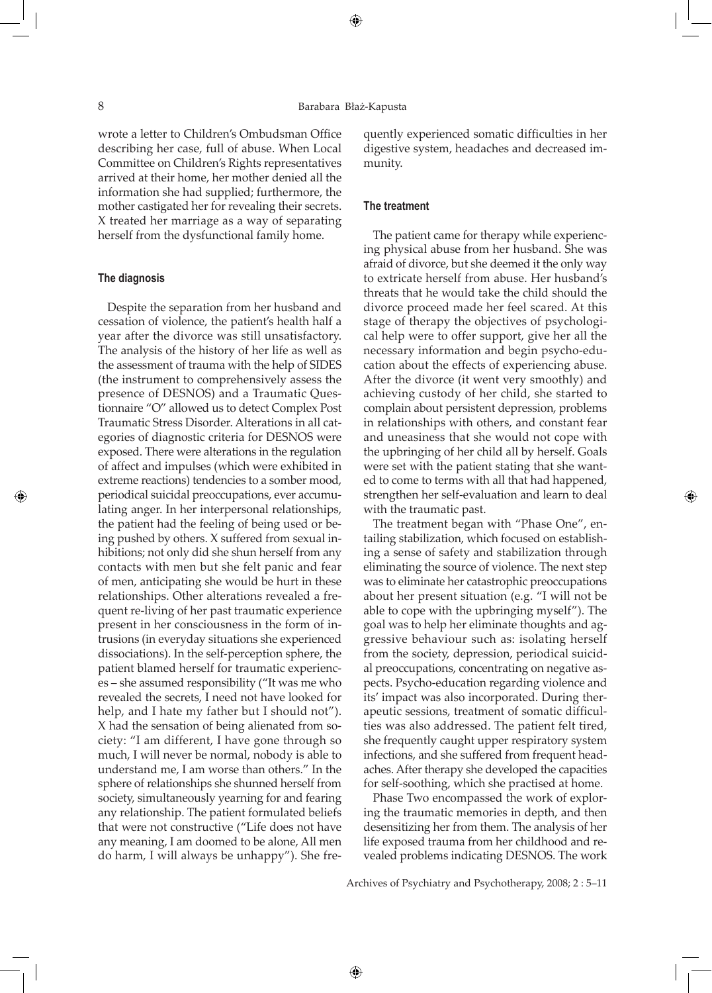wrote a letter to Children's Ombudsman Office describing her case, full of abuse. When Local Committee on Children's Rights representatives arrived at their home, her mother denied all the information she had supplied; furthermore, the mother castigated her for revealing their secrets. X treated her marriage as a way of separating herself from the dysfunctional family home.

## **The diagnosis**

◈

Despite the separation from her husband and cessation of violence, the patient's health half a year after the divorce was still unsatisfactory. The analysis of the history of her life as well as the assessment of trauma with the help of SIDES (the instrument to comprehensively assess the presence of DESNOS) and a Traumatic Questionnaire "O" allowed us to detect Complex Post Traumatic Stress Disorder. Alterations in all categories of diagnostic criteria for DESNOS were exposed. There were alterations in the regulation of affect and impulses (which were exhibited in extreme reactions) tendencies to a somber mood, periodical suicidal preoccupations, ever accumulating anger. In her interpersonal relationships, the patient had the feeling of being used or being pushed by others. X suffered from sexual inhibitions; not only did she shun herself from any contacts with men but she felt panic and fear of men, anticipating she would be hurt in these relationships. Other alterations revealed a frequent re-living of her past traumatic experience present in her consciousness in the form of intrusions (in everyday situations she experienced dissociations). In the self-perception sphere, the patient blamed herself for traumatic experiences – she assumed responsibility ("It was me who revealed the secrets, I need not have looked for help, and I hate my father but I should not"). X had the sensation of being alienated from society: "I am different, I have gone through so much, I will never be normal, nobody is able to understand me, I am worse than others." In the sphere of relationships she shunned herself from society, simultaneously yearning for and fearing any relationship. The patient formulated beliefs that were not constructive ("Life does not have any meaning, I am doomed to be alone, All men do harm, I will always be unhappy"). She frequently experienced somatic difficulties in her digestive system, headaches and decreased immunity.

## **The treatment**

The patient came for therapy while experiencing physical abuse from her husband. She was afraid of divorce, but she deemed it the only way to extricate herself from abuse. Her husband's threats that he would take the child should the divorce proceed made her feel scared. At this stage of therapy the objectives of psychological help were to offer support, give her all the necessary information and begin psycho-education about the effects of experiencing abuse. After the divorce (it went very smoothly) and achieving custody of her child, she started to complain about persistent depression, problems in relationships with others, and constant fear and uneasiness that she would not cope with the upbringing of her child all by herself. Goals were set with the patient stating that she wanted to come to terms with all that had happened, strengthen her self-evaluation and learn to deal with the traumatic past.

◈

The treatment began with "Phase One", entailing stabilization, which focused on establishing a sense of safety and stabilization through eliminating the source of violence. The next step was to eliminate her catastrophic preoccupations about her present situation (e.g. "I will not be able to cope with the upbringing myself"). The goal was to help her eliminate thoughts and aggressive behaviour such as: isolating herself from the society, depression, periodical suicidal preoccupations, concentrating on negative aspects. Psycho-education regarding violence and its' impact was also incorporated. During therapeutic sessions, treatment of somatic difficulties was also addressed. The patient felt tired, she frequently caught upper respiratory system infections, and she suffered from frequent headaches. After therapy she developed the capacities for self-soothing, which she practised at home.

Phase Two encompassed the work of exploring the traumatic memories in depth, and then desensitizing her from them. The analysis of her life exposed trauma from her childhood and revealed problems indicating DESNOS. The work

Archives of Psychiatry and Psychotherapy, 2008; 2 : 5–11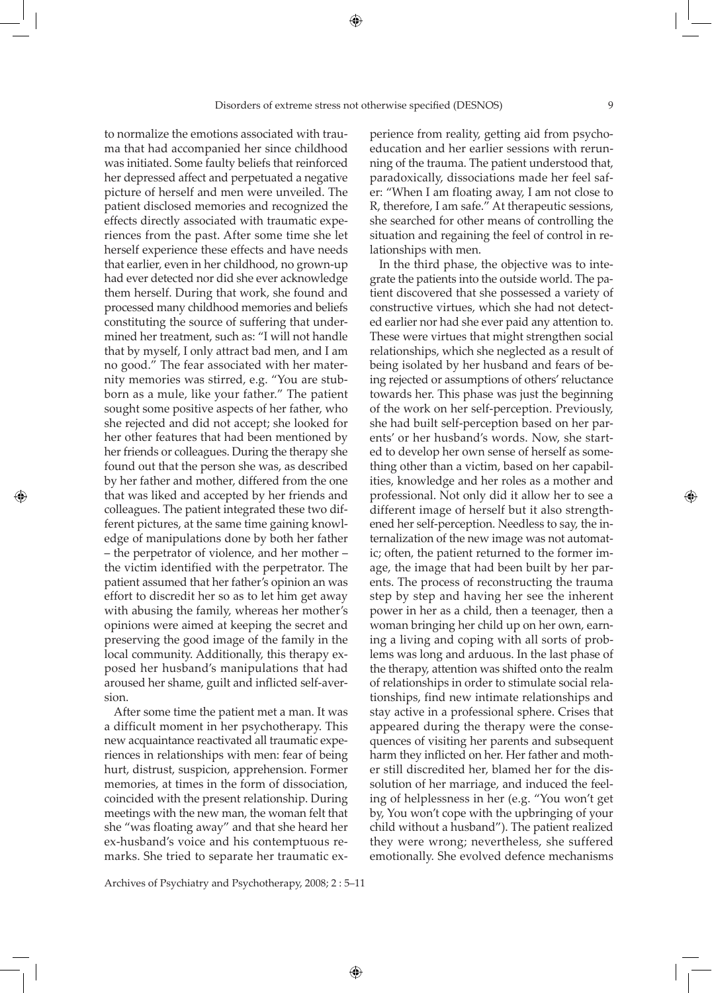to normalize the emotions associated with trauma that had accompanied her since childhood was initiated. Some faulty beliefs that reinforced her depressed affect and perpetuated a negative picture of herself and men were unveiled. The patient disclosed memories and recognized the effects directly associated with traumatic experiences from the past. After some time she let herself experience these effects and have needs that earlier, even in her childhood, no grown-up had ever detected nor did she ever acknowledge them herself. During that work, she found and processed many childhood memories and beliefs constituting the source of suffering that undermined her treatment, such as: "I will not handle that by myself, I only attract bad men, and I am no good." The fear associated with her maternity memories was stirred, e.g. "You are stubborn as a mule, like your father." The patient sought some positive aspects of her father, who she rejected and did not accept; she looked for her other features that had been mentioned by her friends or colleagues. During the therapy she found out that the person she was, as described by her father and mother, differed from the one that was liked and accepted by her friends and colleagues. The patient integrated these two different pictures, at the same time gaining knowledge of manipulations done by both her father – the perpetrator of violence, and her mother – the victim identified with the perpetrator. The patient assumed that her father's opinion an was effort to discredit her so as to let him get away with abusing the family, whereas her mother's opinions were aimed at keeping the secret and preserving the good image of the family in the local community. Additionally, this therapy exposed her husband's manipulations that had aroused her shame, guilt and inflicted self-aversion.

◈

After some time the patient met a man. It was a difficult moment in her psychotherapy. This new acquaintance reactivated all traumatic experiences in relationships with men: fear of being hurt, distrust, suspicion, apprehension. Former memories, at times in the form of dissociation, coincided with the present relationship. During meetings with the new man, the woman felt that she "was floating away" and that she heard her ex-husband's voice and his contemptuous remarks. She tried to separate her traumatic ex-

Archives of Psychiatry and Psychotherapy, 2008; 2 : 5–11

◈

perience from reality, getting aid from psychoeducation and her earlier sessions with rerunning of the trauma. The patient understood that, paradoxically, dissociations made her feel safer: "When I am floating away, I am not close to R, therefore, I am safe." At therapeutic sessions, she searched for other means of controlling the situation and regaining the feel of control in relationships with men.

In the third phase, the objective was to integrate the patients into the outside world. The patient discovered that she possessed a variety of constructive virtues, which she had not detected earlier nor had she ever paid any attention to. These were virtues that might strengthen social relationships, which she neglected as a result of being isolated by her husband and fears of being rejected or assumptions of others' reluctance towards her. This phase was just the beginning of the work on her self-perception. Previously, she had built self-perception based on her parents' or her husband's words. Now, she started to develop her own sense of herself as something other than a victim, based on her capabilities, knowledge and her roles as a mother and professional. Not only did it allow her to see a different image of herself but it also strengthened her self-perception. Needless to say, the internalization of the new image was not automatic; often, the patient returned to the former image, the image that had been built by her parents. The process of reconstructing the trauma step by step and having her see the inherent power in her as a child, then a teenager, then a woman bringing her child up on her own, earning a living and coping with all sorts of problems was long and arduous. In the last phase of the therapy, attention was shifted onto the realm of relationships in order to stimulate social relationships, find new intimate relationships and stay active in a professional sphere. Crises that appeared during the therapy were the consequences of visiting her parents and subsequent harm they inflicted on her. Her father and mother still discredited her, blamed her for the dissolution of her marriage, and induced the feeling of helplessness in her (e.g. "You won't get by, You won't cope with the upbringing of your child without a husband"). The patient realized they were wrong; nevertheless, she suffered emotionally. She evolved defence mechanisms

◈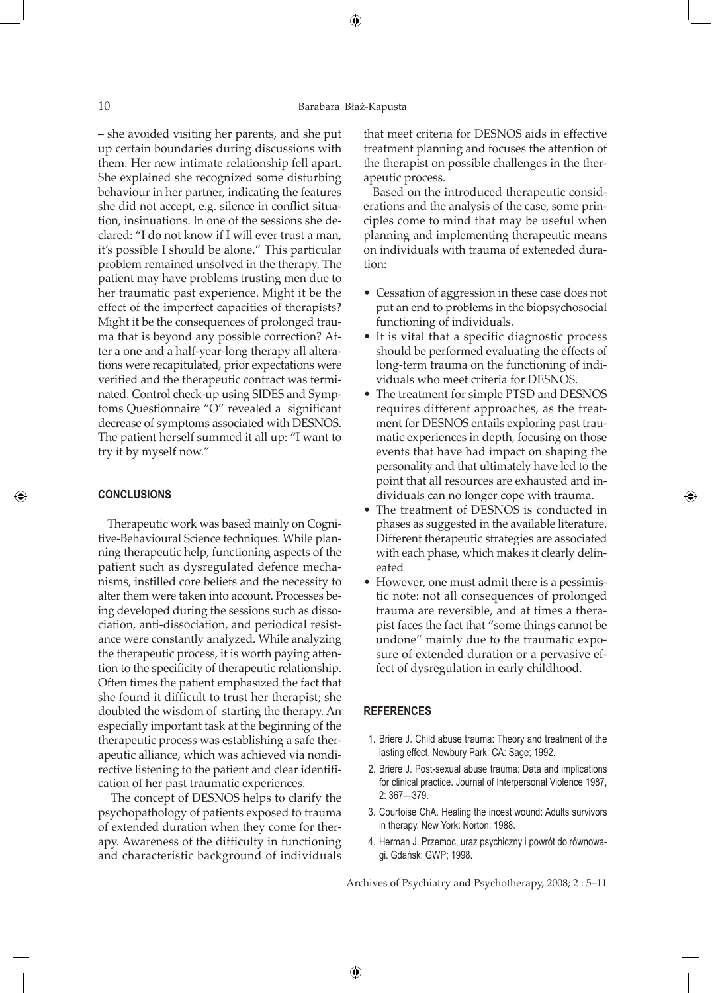## 10 Barabara Błaż-Kapusta

⊕

– she avoided visiting her parents, and she put up certain boundaries during discussions with them. Her new intimate relationship fell apart. She explained she recognized some disturbing behaviour in her partner, indicating the features she did not accept, e.g. silence in conflict situation, insinuations. In one of the sessions she declared: "I do not know if I will ever trust a man, it's possible I should be alone." This particular problem remained unsolved in the therapy. The patient may have problems trusting men due to her traumatic past experience. Might it be the effect of the imperfect capacities of therapists? Might it be the consequences of prolonged trauma that is beyond any possible correction? After a one and a half-year-long therapy all alterations were recapitulated, prior expectations were verified and the therapeutic contract was terminated. Control check-up using SIDES and Symptoms Questionnaire "O" revealed a significant decrease of symptoms associated with DESNOS. The patient herself summed it all up: "I want to try it by myself now."

## **CONCLUSIONS**

◈

Therapeutic work was based mainly on Cognitive-Behavioural Science techniques. While planning therapeutic help, functioning aspects of the patient such as dysregulated defence mechanisms, instilled core beliefs and the necessity to alter them were taken into account. Processes being developed during the sessions such as dissociation, anti-dissociation, and periodical resistance were constantly analyzed. While analyzing the therapeutic process, it is worth paying attention to the specificity of therapeutic relationship. Often times the patient emphasized the fact that she found it difficult to trust her therapist; she doubted the wisdom of starting the therapy. An especially important task at the beginning of the therapeutic process was establishing a safe therapeutic alliance, which was achieved via nondirective listening to the patient and clear identification of her past traumatic experiences.

 The concept of DESNOS helps to clarify the psychopathology of patients exposed to trauma of extended duration when they come for therapy. Awareness of the difficulty in functioning and characteristic background of individuals that meet criteria for DESNOS aids in effective treatment planning and focuses the attention of the therapist on possible challenges in the therapeutic process.

Based on the introduced therapeutic considerations and the analysis of the case, some principles come to mind that may be useful when planning and implementing therapeutic means on individuals with trauma of exteneded duration:

- Cessation of aggression in these case does not put an end to problems in the biopsychosocial functioning of individuals.
- It is vital that a specific diagnostic process should be performed evaluating the effects of long-term trauma on the functioning of individuals who meet criteria for DESNOS.
- The treatment for simple PTSD and DESNOS requires different approaches, as the treatment for DESNOS entails exploring past traumatic experiences in depth, focusing on those events that have had impact on shaping the personality and that ultimately have led to the point that all resources are exhausted and individuals can no longer cope with trauma.
- The treatment of DESNOS is conducted in phases as suggested in the available literature. Different therapeutic strategies are associated with each phase, which makes it clearly delineated

◈

• However, one must admit there is a pessimistic note: not all consequences of prolonged trauma are reversible, and at times a therapist faces the fact that "some things cannot be undone" mainly due to the traumatic exposure of extended duration or a pervasive effect of dysregulation in early childhood.

#### **REFERENCES**

◈

- 1. Briere J. Child abuse trauma: Theory and treatment of the lasting effect. Newbury Park: CA: Sage; 1992.
- 2. Briere J. Post-sexual abuse trauma: Data and implications for clinical practice. Journal of Interpersonal Violence 1987, 2: 367—379.
- 3. Courtoise ChA. Healing the incest wound: Adults survivors in therapy. New York: Norton; 1988.
- 4. Herman J. Przemoc, uraz psychiczny i powrót do równowagi. Gdańsk: GWP; 1998.

Archives of Psychiatry and Psychotherapy, 2008; 2 : 5–11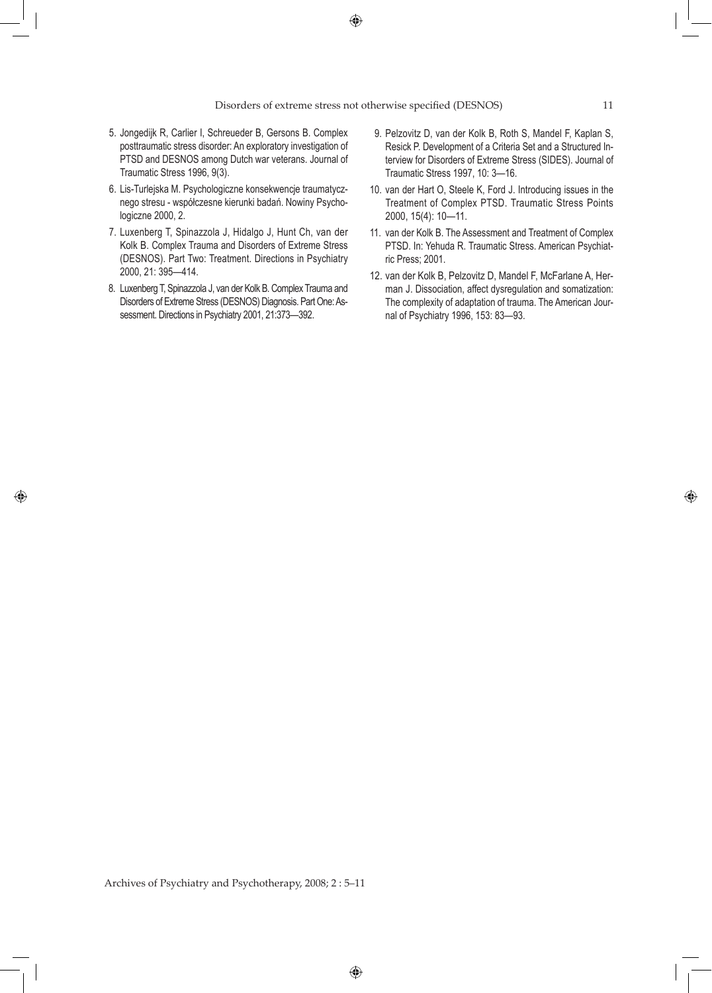$\bigoplus$ 

#### Disorders of extreme stress not otherwise specified (DESNOS) 11

- 5. Jongedijk R, Carlier I, Schreueder B, Gersons B. Complex posttraumatic stress disorder: An exploratory investigation of PTSD and DESNOS among Dutch war veterans. Journal of Traumatic Stress 1996, 9(3).
- 6. Lis-Turlejska M. Psychologiczne konsekwencje traumatycznego stresu - współczesne kierunki badań. Nowiny Psychologiczne 2000, 2.
- 7. Luxenberg T, Spinazzola J, Hidalgo J, Hunt Ch, van der Kolk B. Complex Trauma and Disorders of Extreme Stress (DESNOS). Part Two: Treatment. Directions in Psychiatry 2000, 21: 395—414.
- 8. Luxenberg T, Spinazzola J, van der Kolk B. Complex Trauma and Disorders of Extreme Stress (DESNOS) Diagnosis. Part One: Assessment. Directions in Psychiatry 2001, 21:373—392.

◈

- 9. Pelzovitz D, van der Kolk B, Roth S, Mandel F, Kaplan S, Resick P. Development of a Criteria Set and a Structured Interview for Disorders of Extreme Stress (SIDES). Journal of Traumatic Stress 1997, 10: 3—16.
- 10. van der Hart O, Steele K, Ford J. Introducing issues in the Treatment of Complex PTSD. Traumatic Stress Points 2000, 15(4): 10—11.
- 11. van der Kolk B. The Assessment and Treatment of Complex PTSD. In: Yehuda R. Traumatic Stress. American Psychiatric Press; 2001.
- 12. van der Kolk B, Pelzovitz D, Mandel F, McFarlane A, Herman J. Dissociation, affect dysregulation and somatization: The complexity of adaptation of trauma. The American Journal of Psychiatry 1996, 153: 83—93.

Archives of Psychiatry and Psychotherapy, 2008; 2 : 5–11

◈